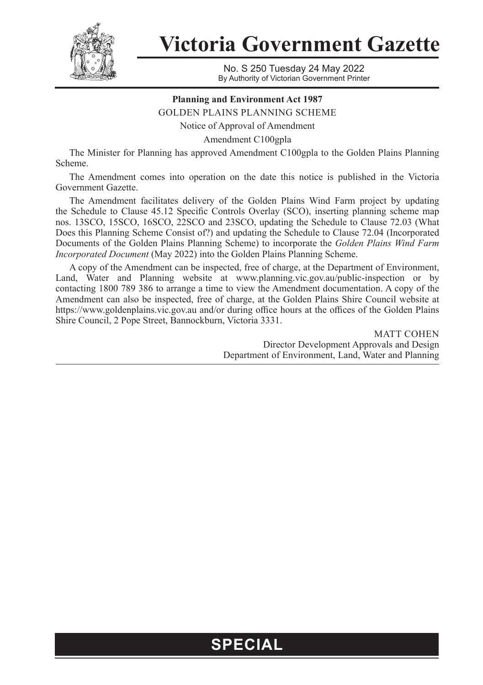

**Victoria Government Gazette**

No. S 250 Tuesday 24 May 2022 By Authority of Victorian Government Printer

## **Planning and Environment Act 1987**

GOLDEN PLAINS PLANNING SCHEME

Notice of Approval of Amendment

Amendment C100gpla

The Minister for Planning has approved Amendment C100gpla to the Golden Plains Planning Scheme.

The Amendment comes into operation on the date this notice is published in the Victoria Government Gazette.

The Amendment facilitates delivery of the Golden Plains Wind Farm project by updating the Schedule to Clause 45.12 Specific Controls Overlay (SCO), inserting planning scheme map nos. 13SCO, 15SCO, 16SCO, 22SCO and 23SCO, updating the Schedule to Clause 72.03 (What Does this Planning Scheme Consist of?) and updating the Schedule to Clause 72.04 (Incorporated Documents of the Golden Plains Planning Scheme) to incorporate the *Golden Plains Wind Farm Incorporated Document* (May 2022) into the Golden Plains Planning Scheme.

A copy of the Amendment can be inspected, free of charge, at the Department of Environment, Land, Water and Planning website at [www.planning.vic.gov.au/public-inspection](http://www.planning.vic.gov.au/public-inspection) or by contacting 1800 789 386 to arrange a time to view the Amendment documentation. A copy of the Amendment can also be inspected, free of charge, at the Golden Plains Shire Council website at <https://www.goldenplains.vic.gov.au> and/or during office hours at the offices of the Golden Plains Shire Council, 2 Pope Street, Bannockburn, Victoria 3331.

> MATT COHEN Director Development Approvals and Design Department of Environment, Land, Water and Planning

## **SPECIAL**